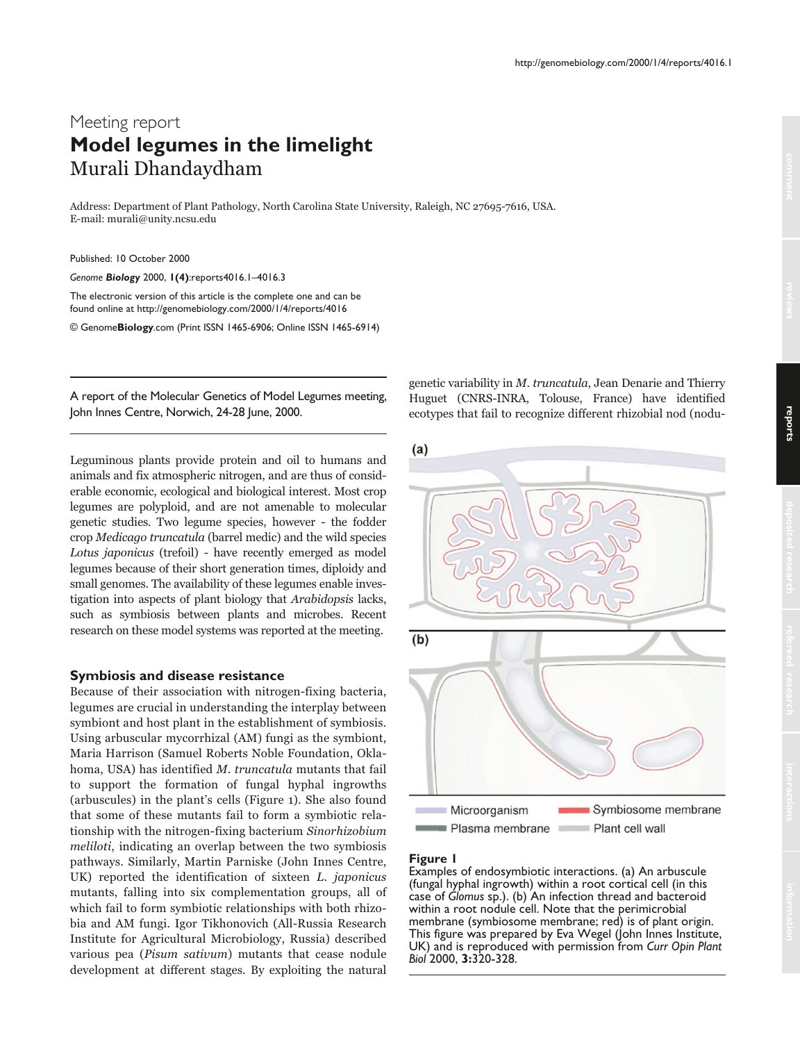# Meeting report **Model legumes in the limelight** Murali Dhandaydham

Address: Department of Plant Pathology, North Carolina State University, Raleigh, NC 27695-7616, USA. E-mail: murali@unity.ncsu.edu

Published: 10 October 2000

*Genome Biology* 2000, **1(4)**:reports4016.1–4016.3

The electronic version of this article is the complete one and can be found online at http://genomebiology.com/2000/1/4/reports/4016

© Genome**Biology**.com (Print ISSN 1465-6906; Online ISSN 1465-6914)

A report of the Molecular Genetics of Model Legumes meeting, John Innes Centre, Norwich, 24-28 June, 2000.

Leguminous plants provide protein and oil to humans and animals and fix atmospheric nitrogen, and are thus of considerable economic, ecological and biological interest. Most crop legumes are polyploid, and are not amenable to molecular genetic studies. Two legume species, however - the fodder crop *Medicago truncatula* (barrel medic) and the wild species Lotus japonicus (trefoil) - have recently emerged as model legumes because of their short generation times, diploidy and small genomes. The availability of these legumes enable investigation into aspects of plant biology that Arabidopsis lacks, such as symbiosis between plants and microbes. Recent research on these model systems was reported at the meeting.

#### **Symbiosis and disease resistance**

Because of their association with nitrogen-fixing bacteria, legumes are crucial in understanding the interplay between symbiont and host plant in the establishment of symbiosis. Using arbuscular mycorrhizal (AM) fungi as the symbiont, Maria Harrison (Samuel Roberts Noble Foundation, Oklahoma, USA) has identified *M. truncatula* mutants that fail to support the formation of fungal hyphal ingrowths (arbuscules) in the plant's cells (Figure 1). She also found that some of these mutants fail to form a symbiotic relationship with the nitrogen-fixing bacterium *Sinorhizobium meliloti,* indicating an overlap between the two symbiosis pathways. Similarly, Martin Parniske (John Innes Centre, UK) reported the identification of sixteen *L. japonicus* mutants, falling into six complementation groups, all of which fail to form symbiotic relationships with both rhizobia and AM fungi. Igor Tikhonovich (All-Russia Research Institute for Agricultural Microbiology, Russia) described various pea (Pisum sativum) mutants that cease nodule development at different stages. By exploiting the natural genetic variability in *M. truncatula*, Jean Denarie and Thierry Huguet (CNRS-INRA, Tolouse, France) have identified ecotypes that fail to recognize different rhizobial nod (nodu-



# **Figure 1**

Examples of endosymbiotic interactions. (a) An arbuscule (fungal hyphal ingrowth) within a root cortical cell (in this case of *Glomus* sp.). (b) An infection thread and bacteroid within a root nodule cell. Note that the perimicrobial membrane (symbiosome membrane; red) is of plant origin. This figure was prepared by Eva Wegel (John Innes Institute, UK) and is reproduced with permission from *Curr Opin Plant Biol* 2000, **3:**320-328.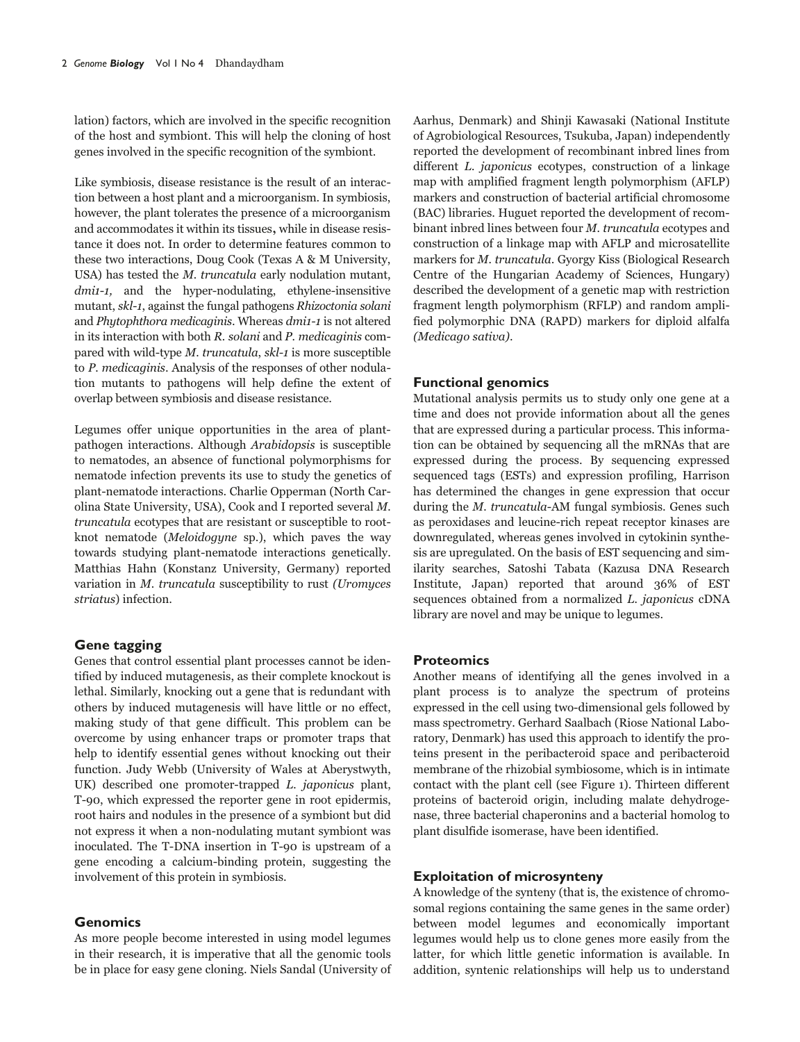lation) factors, which are involved in the specific recognition of the host and symbiont. This will help the cloning of host genes involved in the specific recognition of the symbiont.

Like symbiosis, disease resistance is the result of an interaction between a host plant and a microorganism. In symbiosis, however, the plant tolerates the presence of a microorganism and accommodates it within its tissues, while in disease resistance it does not. In order to determine features common to these two interactions, Doug Cook (Texas A & M University, USA) has tested the *M. truncatula* early nodulation mutant. dmi1-1, and the hyper-nodulating, ethylene-insensitive mutant, skl-1, against the fungal pathogens Rhizoctonia solani and Phytophthora medicaginis. Whereas dmi1-1 is not altered in its interaction with both R. solani and P. medicaginis compared with wild-type M. truncatula, skl-1 is more susceptible to P. medicaginis. Analysis of the responses of other nodulation mutants to pathogens will help define the extent of overlap between symbiosis and disease resistance.

Legumes offer unique opportunities in the area of plantpathogen interactions. Although *Arabidopsis* is susceptible to nematodes, an absence of functional polymorphisms for nematode infection prevents its use to study the genetics of plant-nematode interactions. Charlie Opperman (North Carolina State University, USA), Cook and I reported several M. truncatula ecotypes that are resistant or susceptible to rootknot nematode (*Meloidogyne* sp.), which paves the way towards studying plant-nematode interactions genetically. Matthias Hahn (Konstanz University, Germany) reported variation in  $M$ . truncatula susceptibility to rust (Uromyces striatus) infection.

### **Gene tagging**

Genes that control essential plant processes cannot be identified by induced mutagenesis, as their complete knockout is lethal. Similarly, knocking out a gene that is redundant with others by induced mutagenesis will have little or no effect, making study of that gene difficult. This problem can be overcome by using enhancer traps or promoter traps that help to identify essential genes without knocking out their function. Judy Webb (University of Wales at Aberystwyth, UK) described one promoter-trapped L. japonicus plant, T-90, which expressed the reporter gene in root epidermis, root hairs and nodules in the presence of a symbiont but did not express it when a non-nodulating mutant symbiont was inoculated. The T-DNA insertion in T-90 is upstream of a gene encoding a calcium-binding protein, suggesting the involvement of this protein in symbiosis.

### **Genomics**

As more people become interested in using model legumes in their research, it is imperative that all the genomic tools be in place for easy gene cloning. Niels Sandal (University of Aarhus, Denmark) and Shinii Kawasaki (National Institute of Agrobiological Resources, Tsukuba, Japan) independently reported the development of recombinant inbred lines from different L. *japonicus* ecotypes, construction of a linkage map with amplified fragment length polymorphism (AFLP) markers and construction of bacterial artificial chromosome (BAC) libraries. Huguet reported the development of recombinant inbred lines between four M. truncatula ecotypes and construction of a linkage map with AFLP and microsatellite markers for *M. truncatula*. Gyorgy Kiss (Biological Research Centre of the Hungarian Academy of Sciences, Hungary) described the development of a genetic map with restriction fragment length polymorphism (RFLP) and random amplified polymorphic DNA (RAPD) markers for diploid alfalfa (Medicago sativa).

## **Functional genomics**

Mutational analysis permits us to study only one gene at a time and does not provide information about all the genes that are expressed during a particular process. This information can be obtained by sequencing all the mRNAs that are expressed during the process. By sequencing expressed sequenced tags (ESTs) and expression profiling, Harrison has determined the changes in gene expression that occur during the  $M$ . truncatula-AM fungal symbiosis. Genes such as peroxidases and leucine-rich repeat receptor kinases are downregulated, whereas genes involved in cytokinin synthesis are upregulated. On the basis of EST sequencing and similarity searches, Satoshi Tabata (Kazusa DNA Research Institute, Japan) reported that around 36% of EST sequences obtained from a normalized L. japonicus cDNA library are novel and may be unique to legumes.

## **Proteomics**

Another means of identifying all the genes involved in a plant process is to analyze the spectrum of proteins expressed in the cell using two-dimensional gels followed by mass spectrometry. Gerhard Saalbach (Riose National Laboratory, Denmark) has used this approach to identify the proteins present in the peribacteroid space and peribacteroid membrane of the rhizobial symbiosome, which is in intimate contact with the plant cell (see Figure 1). Thirteen different proteins of bacteroid origin, including malate dehydrogenase, three bacterial chaperonins and a bacterial homolog to plant disulfide isomerase, have been identified.

#### **Exploitation of microsynteny**

A knowledge of the synteny (that is, the existence of chromosomal regions containing the same genes in the same order) between model legumes and economically important legumes would help us to clone genes more easily from the latter, for which little genetic information is available. In addition, syntenic relationships will help us to understand